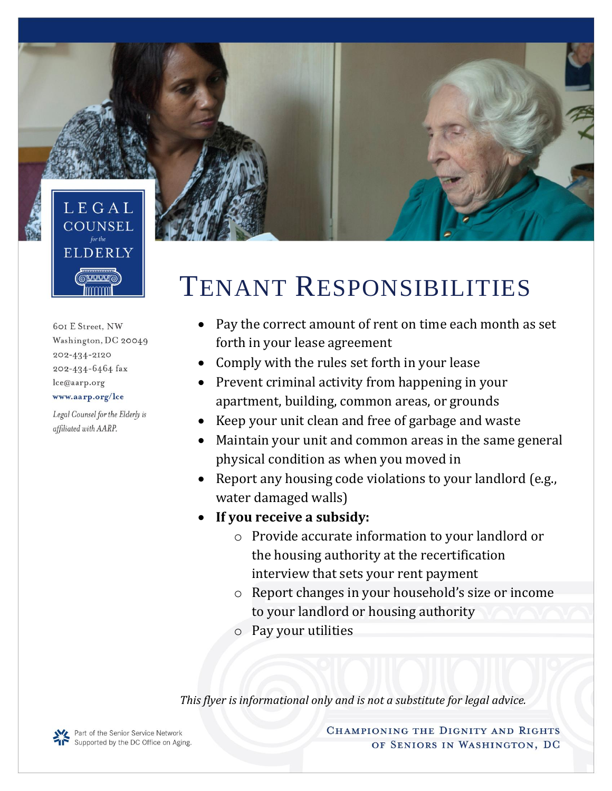

601 E Street, NW Washington, DC 20049 202-434-2120 202-434-6464 fax lce@aarp.org www.aarp.org/lce

Legal Counsel for the Elderly is affiliated with AARP.

## TENANT RESPONSIBILITIES

- Pay the correct amount of rent on time each month as set forth in your lease agreement
- Comply with the rules set forth in your lease
- Prevent criminal activity from happening in your apartment, building, common areas, or grounds
- Keep your unit clean and free of garbage and waste
- Maintain your unit and common areas in the same general physical condition as when you moved in
- Report any housing code violations to your landlord (e.g., water damaged walls)
- **If you receive a subsidy:**
	- o Provide accurate information to your landlord or the housing authority at the recertification interview that sets your rent payment
	- o Report changes in your household's size or income to your landlord or housing authority
	- o Pay your utilities

*This flyer is informational only and is not a substitute for legal advice.* 

CHAMPIONING THE DIGNITY AND RIGHTS OF SENIORS IN WASHINGTON, DC